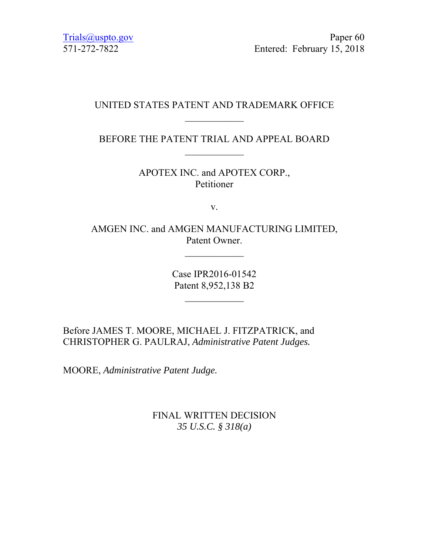Trials@uspto.gov Paper 60 571-272-7822 Entered: February 15, 2018

# UNITED STATES PATENT AND TRADEMARK OFFICE  $\frac{1}{2}$

BEFORE THE PATENT TRIAL AND APPEAL BOARD

APOTEX INC. and APOTEX CORP., Petitioner

v.

AMGEN INC. and AMGEN MANUFACTURING LIMITED, Patent Owner.

 $\mathcal{L}_\text{max}$ 

Case IPR2016-01542 Patent 8,952,138 B2

 $\frac{1}{2}$ 

Before JAMES T. MOORE, MICHAEL J. FITZPATRICK, and CHRISTOPHER G. PAULRAJ, *Administrative Patent Judges.*

MOORE, *Administrative Patent Judge.*

FINAL WRITTEN DECISION *35 U.S.C. § 318(a)*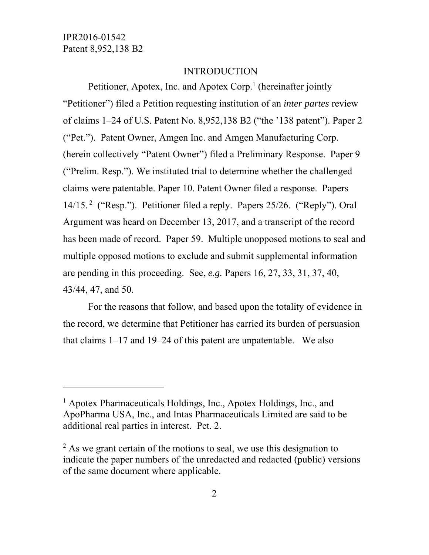-

#### INTRODUCTION

Petitioner, Apotex, Inc. and Apotex Corp.<sup>1</sup> (hereinafter jointly "Petitioner") filed a Petition requesting institution of an *inter partes* review of claims 1–24 of U.S. Patent No. 8,952,138 B2 ("the '138 patent"). Paper 2 ("Pet."). Patent Owner, Amgen Inc. and Amgen Manufacturing Corp. (herein collectively "Patent Owner") filed a Preliminary Response. Paper 9 ("Prelim. Resp."). We instituted trial to determine whether the challenged claims were patentable. Paper 10. Patent Owner filed a response. Papers 14/15. 2 ("Resp."). Petitioner filed a reply. Papers 25/26. ("Reply"). Oral Argument was heard on December 13, 2017, and a transcript of the record has been made of record. Paper 59. Multiple unopposed motions to seal and multiple opposed motions to exclude and submit supplemental information are pending in this proceeding. See, *e.g.* Papers 16, 27, 33, 31, 37, 40, 43/44, 47, and 50.

For the reasons that follow, and based upon the totality of evidence in the record, we determine that Petitioner has carried its burden of persuasion that claims 1–17 and 19–24 of this patent are unpatentable. We also

<sup>&</sup>lt;sup>1</sup> Apotex Pharmaceuticals Holdings, Inc., Apotex Holdings, Inc., and ApoPharma USA, Inc., and Intas Pharmaceuticals Limited are said to be additional real parties in interest. Pet. 2.

 $2$  As we grant certain of the motions to seal, we use this designation to indicate the paper numbers of the unredacted and redacted (public) versions of the same document where applicable.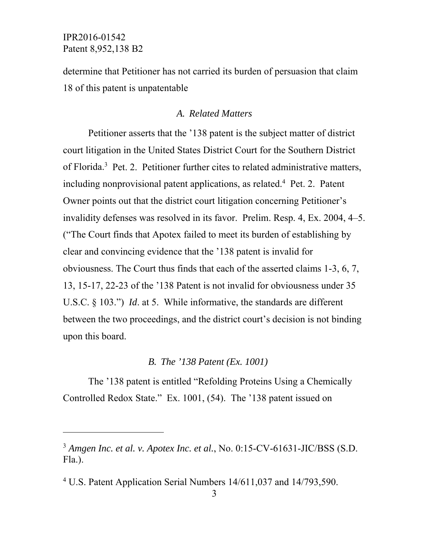l

determine that Petitioner has not carried its burden of persuasion that claim 18 of this patent is unpatentable

#### *A. Related Matters*

Petitioner asserts that the '138 patent is the subject matter of district court litigation in the United States District Court for the Southern District of Florida.<sup>3</sup> Pet. 2. Petitioner further cites to related administrative matters, including nonprovisional patent applications, as related.<sup>4</sup> Pet. 2. Patent Owner points out that the district court litigation concerning Petitioner's invalidity defenses was resolved in its favor. Prelim. Resp. 4, Ex. 2004, 4–5. ("The Court finds that Apotex failed to meet its burden of establishing by clear and convincing evidence that the '138 patent is invalid for obviousness. The Court thus finds that each of the asserted claims 1-3, 6, 7, 13, 15-17, 22-23 of the '138 Patent is not invalid for obviousness under 35 U.S.C. § 103.") *Id*. at 5.While informative, the standards are different between the two proceedings, and the district court's decision is not binding upon this board.

#### *B. The '138 Patent (Ex. 1001)*

The '138 patent is entitled "Refolding Proteins Using a Chemically Controlled Redox State." Ex. 1001, (54). The '138 patent issued on

<sup>3</sup> *Amgen Inc. et al. v. Apotex Inc. et al.*, No. 0:15-CV-61631-JIC/BSS (S.D. Fla.).

<sup>&</sup>lt;sup>4</sup> U.S. Patent Application Serial Numbers 14/611,037 and 14/793,590.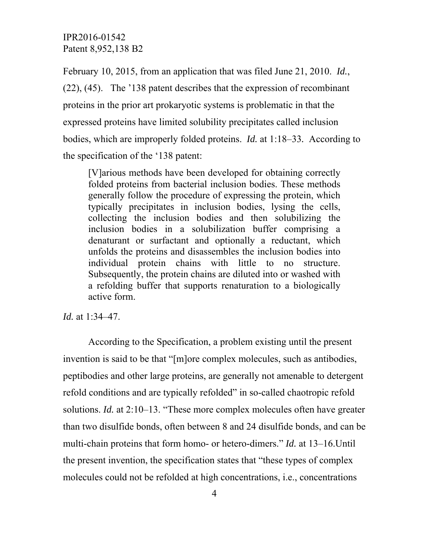February 10, 2015, from an application that was filed June 21, 2010. *Id.*, (22), (45). The '138 patent describes that the expression of recombinant proteins in the prior art prokaryotic systems is problematic in that the expressed proteins have limited solubility precipitates called inclusion bodies, which are improperly folded proteins. *Id.* at 1:18–33*.* According to the specification of the '138 patent:

[V]arious methods have been developed for obtaining correctly folded proteins from bacterial inclusion bodies. These methods generally follow the procedure of expressing the protein, which typically precipitates in inclusion bodies, lysing the cells, collecting the inclusion bodies and then solubilizing the inclusion bodies in a solubilization buffer comprising a denaturant or surfactant and optionally a reductant, which unfolds the proteins and disassembles the inclusion bodies into individual protein chains with little to no structure. Subsequently, the protein chains are diluted into or washed with a refolding buffer that supports renaturation to a biologically active form.

*Id.* at 1:34–47.

According to the Specification, a problem existing until the present invention is said to be that "[m]ore complex molecules, such as antibodies, peptibodies and other large proteins, are generally not amenable to detergent refold conditions and are typically refolded" in so-called chaotropic refold solutions. *Id.* at 2:10–13. "These more complex molecules often have greater than two disulfide bonds, often between 8 and 24 disulfide bonds, and can be multi-chain proteins that form homo- or hetero-dimers." *Id.* at 13–16.Until the present invention, the specification states that "these types of complex molecules could not be refolded at high concentrations, i.e., concentrations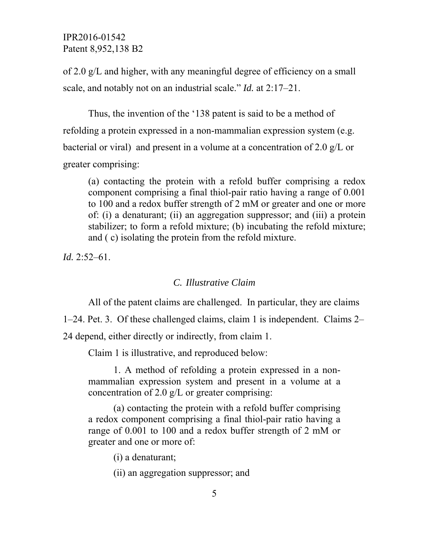of 2.0 g/L and higher, with any meaningful degree of efficiency on a small scale, and notably not on an industrial scale." *Id.* at 2:17–21.

Thus, the invention of the '138 patent is said to be a method of refolding a protein expressed in a non-mammalian expression system (e.g. bacterial or viral) and present in a volume at a concentration of 2.0 g/L or greater comprising:

(a) contacting the protein with a refold buffer comprising a redox component comprising a final thiol-pair ratio having a range of 0.001 to 100 and a redox buffer strength of 2 mM or greater and one or more of: (i) a denaturant; (ii) an aggregation suppressor; and (iii) a protein stabilizer; to form a refold mixture; (b) incubating the refold mixture; and ( c) isolating the protein from the refold mixture.

*Id.* 2:52–61.

#### *C. Illustrative Claim*

All of the patent claims are challenged. In particular, they are claims

1–24. Pet. 3. Of these challenged claims, claim 1 is independent. Claims 2–

24 depend, either directly or indirectly, from claim 1.

Claim 1 is illustrative, and reproduced below:

1. A method of refolding a protein expressed in a nonmammalian expression system and present in a volume at a concentration of 2.0 g/L or greater comprising:

(a) contacting the protein with a refold buffer comprising a redox component comprising a final thiol-pair ratio having a range of 0.001 to 100 and a redox buffer strength of 2 mM or greater and one or more of:

(i) a denaturant;

(ii) an aggregation suppressor; and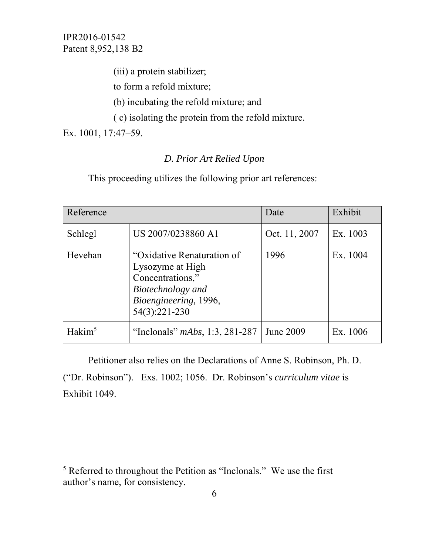(iii) a protein stabilizer;

to form a refold mixture;

(b) incubating the refold mixture; and

( c) isolating the protein from the refold mixture.

Ex. 1001, 17:47–59.

 $\overline{a}$ 

# *D. Prior Art Relied Upon*

This proceeding utilizes the following prior art references:

| Reference          |                                                                                                                                   | Date          | Exhibit  |
|--------------------|-----------------------------------------------------------------------------------------------------------------------------------|---------------|----------|
| Schlegl            | US 2007/0238860 A1                                                                                                                | Oct. 11, 2007 | Ex. 1003 |
| Hevehan            | "Oxidative Renaturation of<br>Lysozyme at High<br>Concentrations,"<br>Biotechnology and<br>Bioengineering, 1996,<br>54(3):221-230 | 1996          | Ex. 1004 |
| Hakim <sup>5</sup> | "Inclonals" $mAbs$ , 1:3, 281-287                                                                                                 | June 2009     | Ex. 1006 |

Petitioner also relies on the Declarations of Anne S. Robinson, Ph. D. ("Dr. Robinson"). Exs. 1002; 1056. Dr. Robinson's *curriculum vitae* is Exhibit 1049.

<sup>&</sup>lt;sup>5</sup> Referred to throughout the Petition as "Inclonals." We use the first author's name, for consistency.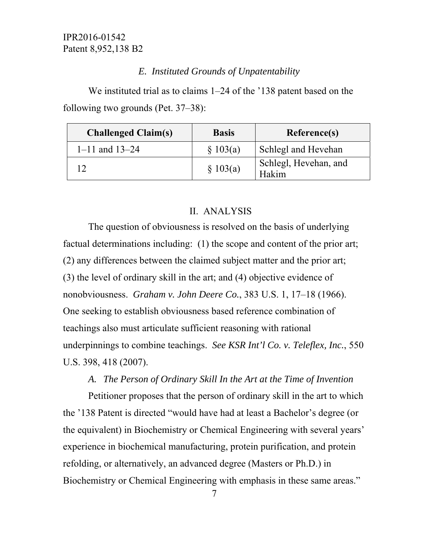#### *E. Instituted Grounds of Unpatentability*

We instituted trial as to claims 1–24 of the '138 patent based on the following two grounds (Pet. 37–38):

| <b>Challenged Claim(s)</b> | <b>Basis</b> | Reference(s)                   |
|----------------------------|--------------|--------------------------------|
| $1 - 11$ and $13 - 24$     | \$103(a)     | Schlegl and Hevehan            |
|                            | \$103(a)     | Schlegl, Hevehan, and<br>Hakim |

### II. ANALYSIS

The question of obviousness is resolved on the basis of underlying factual determinations including: (1) the scope and content of the prior art; (2) any differences between the claimed subject matter and the prior art; (3) the level of ordinary skill in the art; and (4) objective evidence of nonobviousness. *Graham v. John Deere Co.*, 383 U.S. 1, 17–18 (1966). One seeking to establish obviousness based reference combination of teachings also must articulate sufficient reasoning with rational underpinnings to combine teachings. *See KSR Int'l Co. v. Teleflex, Inc.*, 550 U.S. 398, 418 (2007).

#### *A. The Person of Ordinary Skill In the Art at the Time of Invention*

Petitioner proposes that the person of ordinary skill in the art to which the '138 Patent is directed "would have had at least a Bachelor's degree (or the equivalent) in Biochemistry or Chemical Engineering with several years' experience in biochemical manufacturing, protein purification, and protein refolding, or alternatively, an advanced degree (Masters or Ph.D.) in Biochemistry or Chemical Engineering with emphasis in these same areas."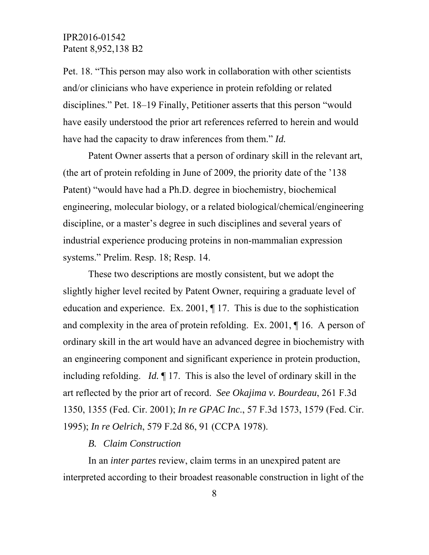Pet. 18. "This person may also work in collaboration with other scientists and/or clinicians who have experience in protein refolding or related disciplines." Pet. 18–19 Finally, Petitioner asserts that this person "would have easily understood the prior art references referred to herein and would have had the capacity to draw inferences from them." *Id.*

Patent Owner asserts that a person of ordinary skill in the relevant art, (the art of protein refolding in June of 2009, the priority date of the '138 Patent) "would have had a Ph.D. degree in biochemistry, biochemical engineering, molecular biology, or a related biological/chemical/engineering discipline, or a master's degree in such disciplines and several years of industrial experience producing proteins in non-mammalian expression systems." Prelim. Resp. 18; Resp. 14.

These two descriptions are mostly consistent, but we adopt the slightly higher level recited by Patent Owner, requiring a graduate level of education and experience. Ex. 2001, ¶ 17. This is due to the sophistication and complexity in the area of protein refolding. Ex. 2001, ¶ 16. A person of ordinary skill in the art would have an advanced degree in biochemistry with an engineering component and significant experience in protein production, including refolding. *Id.* ¶ 17. This is also the level of ordinary skill in the art reflected by the prior art of record. *See Okajima v. Bourdeau*, 261 F.3d 1350, 1355 (Fed. Cir. 2001); *In re GPAC Inc*., 57 F.3d 1573, 1579 (Fed. Cir. 1995); *In re Oelrich*, 579 F.2d 86, 91 (CCPA 1978).

#### *B. Claim Construction*

In an *inter partes* review, claim terms in an unexpired patent are interpreted according to their broadest reasonable construction in light of the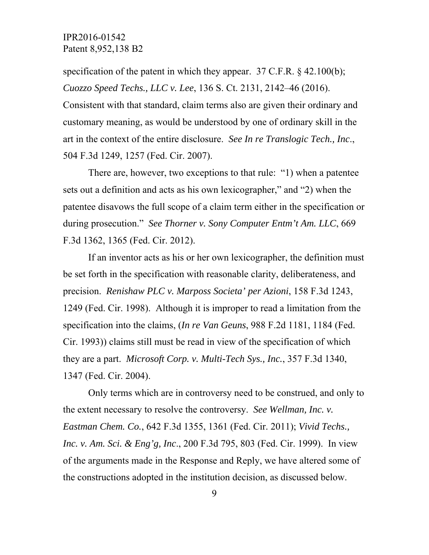specification of the patent in which they appear.  $37$  C.F.R. § 42.100(b); *Cuozzo Speed Techs., LLC v. Lee*, 136 S. Ct. 2131, 2142–46 (2016). Consistent with that standard, claim terms also are given their ordinary and customary meaning, as would be understood by one of ordinary skill in the art in the context of the entire disclosure. *See In re Translogic Tech., Inc*., 504 F.3d 1249, 1257 (Fed. Cir. 2007).

There are, however, two exceptions to that rule: "1) when a patentee sets out a definition and acts as his own lexicographer," and "2) when the patentee disavows the full scope of a claim term either in the specification or during prosecution." *See Thorner v. Sony Computer Entm't Am. LLC*, 669 F.3d 1362, 1365 (Fed. Cir. 2012).

If an inventor acts as his or her own lexicographer, the definition must be set forth in the specification with reasonable clarity, deliberateness, and precision. *Renishaw PLC v. Marposs Societa' per Azioni*, 158 F.3d 1243, 1249 (Fed. Cir. 1998). Although it is improper to read a limitation from the specification into the claims, (*In re Van Geuns*, 988 F.2d 1181, 1184 (Fed. Cir. 1993)) claims still must be read in view of the specification of which they are a part. *Microsoft Corp. v. Multi-Tech Sys., Inc.*, 357 F.3d 1340, 1347 (Fed. Cir. 2004).

Only terms which are in controversy need to be construed, and only to the extent necessary to resolve the controversy. *See Wellman, Inc. v. Eastman Chem. Co.*, 642 F.3d 1355, 1361 (Fed. Cir. 2011); *Vivid Techs., Inc. v. Am. Sci. & Eng'g, Inc*., 200 F.3d 795, 803 (Fed. Cir. 1999). In view of the arguments made in the Response and Reply, we have altered some of the constructions adopted in the institution decision, as discussed below.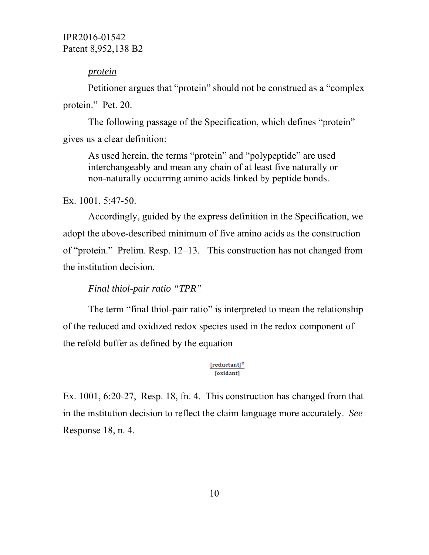#### *protein*

Petitioner argues that "protein" should not be construed as a "complex protein." Pet. 20.

 The following passage of the Specification, which defines "protein" gives us a clear definition:

As used herein, the terms "protein" and "polypeptide" are used interchangeably and mean any chain of at least five naturally or non-naturally occurring amino acids linked by peptide bonds.

Ex. 1001, 5:47-50.

Accordingly, guided by the express definition in the Specification, we adopt the above-described minimum of five amino acids as the construction of "protein." Prelim. Resp. 12–13. This construction has not changed from the institution decision.

#### *Final thiol-pair ratio "TPR"*

The term "final thiol-pair ratio" is interpreted to mean the relationship of the reduced and oxidized redox species used in the redox component of the refold buffer as defined by the equation

#### $[reductant]<sup>2</sup>$ [oxidant]

Ex. 1001, 6:20-27, Resp. 18, fn. 4. This construction has changed from that in the institution decision to reflect the claim language more accurately. *See*  Response 18, n. 4.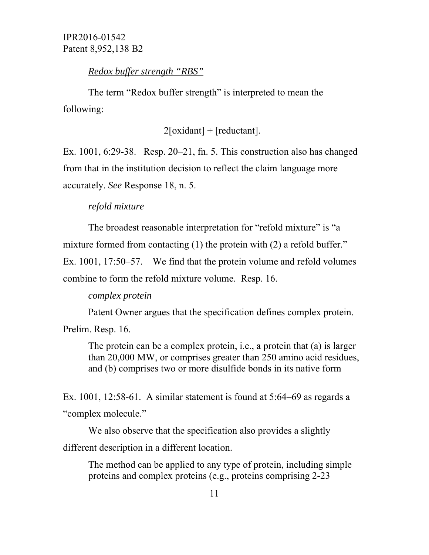# *Redox buffer strength "RBS"*

The term "Redox buffer strength" is interpreted to mean the following:

 $2[oxidant] + [reduction].$ 

Ex. 1001, 6:29-38. Resp. 20–21, fn. 5. This construction also has changed from that in the institution decision to reflect the claim language more accurately. *See* Response 18, n. 5.

# *refold mixture*

The broadest reasonable interpretation for "refold mixture" is "a mixture formed from contacting (1) the protein with (2) a refold buffer." Ex. 1001, 17:50–57. We find that the protein volume and refold volumes combine to form the refold mixture volume. Resp. 16.

# *complex protein*

Patent Owner argues that the specification defines complex protein.

Prelim. Resp. 16.

The protein can be a complex protein, i.e., a protein that (a) is larger than 20,000 MW, or comprises greater than 250 amino acid residues, and (b) comprises two or more disulfide bonds in its native form

Ex. 1001, 12:58-61. A similar statement is found at 5:64–69 as regards a "complex molecule."

We also observe that the specification also provides a slightly different description in a different location.

The method can be applied to any type of protein, including simple proteins and complex proteins (e.g., proteins comprising 2-23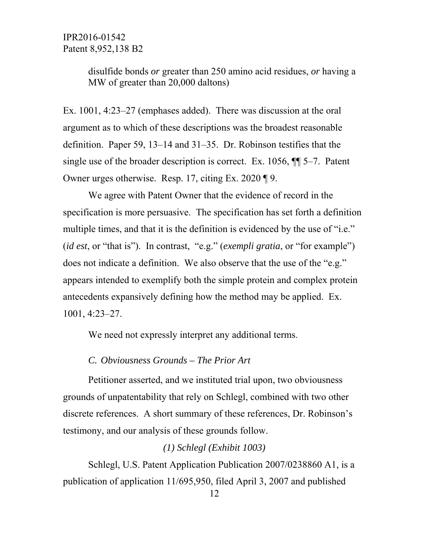> disulfide bonds *or* greater than 250 amino acid residues, *or* having a MW of greater than 20,000 daltons)

Ex. 1001, 4:23–27 (emphases added). There was discussion at the oral argument as to which of these descriptions was the broadest reasonable definition. Paper 59, 13–14 and 31–35. Dr. Robinson testifies that the single use of the broader description is correct. Ex. 1056, ¶¶ 5–7. Patent Owner urges otherwise. Resp. 17, citing Ex. 2020 ¶ 9.

We agree with Patent Owner that the evidence of record in the specification is more persuasive. The specification has set forth a definition multiple times, and that it is the definition is evidenced by the use of "i.e." (*id est*, or "that is"). In contrast, "e.g." (*exempli gratia*, or "for example") does not indicate a definition. We also observe that the use of the "e.g." appears intended to exemplify both the simple protein and complex protein antecedents expansively defining how the method may be applied. Ex. 1001, 4:23–27.

We need not expressly interpret any additional terms.

### *C. Obviousness Grounds – The Prior Art*

 Petitioner asserted, and we instituted trial upon, two obviousness grounds of unpatentability that rely on Schlegl, combined with two other discrete references. A short summary of these references, Dr. Robinson's testimony, and our analysis of these grounds follow.

#### *(1) Schlegl (Exhibit 1003)*

 Schlegl, U.S. Patent Application Publication 2007/0238860 A1, is a publication of application 11/695,950, filed April 3, 2007 and published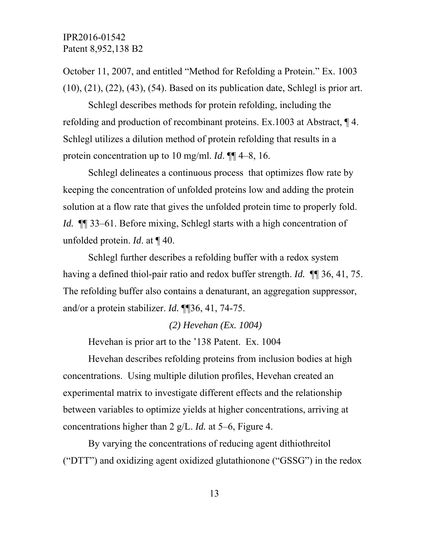October 11, 2007, and entitled "Method for Refolding a Protein." Ex. 1003 (10), (21), (22), (43), (54). Based on its publication date, Schlegl is prior art.

Schlegl describes methods for protein refolding, including the refolding and production of recombinant proteins. Ex.1003 at Abstract, ¶ 4. Schlegl utilizes a dilution method of protein refolding that results in a protein concentration up to 10 mg/ml. *Id*. ¶¶ 4–8, 16.

Schlegl delineates a continuous process that optimizes flow rate by keeping the concentration of unfolded proteins low and adding the protein solution at a flow rate that gives the unfolded protein time to properly fold. *Id.* **[1]** 33–61. Before mixing, Schlegl starts with a high concentration of unfolded protein. *Id*. at ¶ 40.

Schlegl further describes a refolding buffer with a redox system having a defined thiol-pair ratio and redox buffer strength. *Id.* ¶¶ 36, 41, 75. The refolding buffer also contains a denaturant, an aggregation suppressor, and/or a protein stabilizer. *Id.* ¶¶36, 41, 74-75.

#### *(2) Hevehan (Ex. 1004)*

Hevehan is prior art to the '138 Patent. Ex. 1004

 Hevehan describes refolding proteins from inclusion bodies at high concentrations. Using multiple dilution profiles, Hevehan created an experimental matrix to investigate different effects and the relationship between variables to optimize yields at higher concentrations, arriving at concentrations higher than 2 g/L. *Id.* at 5–6, Figure 4.

By varying the concentrations of reducing agent dithiothreitol ("DTT") and oxidizing agent oxidized glutathionone ("GSSG") in the redox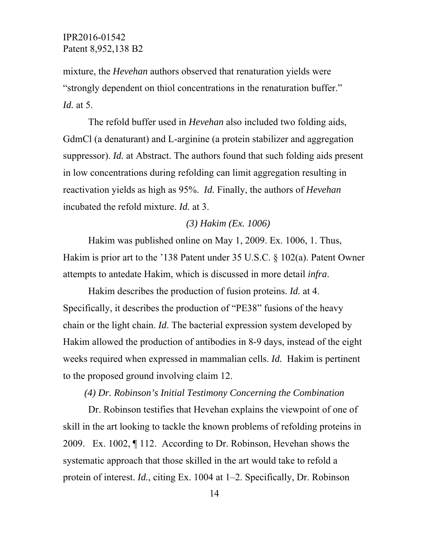mixture, the *Hevehan* authors observed that renaturation yields were "strongly dependent on thiol concentrations in the renaturation buffer." *Id.* at 5.

The refold buffer used in *Hevehan* also included two folding aids, GdmCl (a denaturant) and L-arginine (a protein stabilizer and aggregation suppressor). *Id.* at Abstract. The authors found that such folding aids present in low concentrations during refolding can limit aggregation resulting in reactivation yields as high as 95%. *Id.* Finally, the authors of *Hevehan*  incubated the refold mixture. *Id.* at 3.

#### *(3) Hakim (Ex. 1006)*

Hakim was published online on May 1, 2009. Ex. 1006, 1. Thus, Hakim is prior art to the '138 Patent under 35 U.S.C. § 102(a). Patent Owner attempts to antedate Hakim, which is discussed in more detail *infra*.

Hakim describes the production of fusion proteins. *Id.* at 4. Specifically, it describes the production of "PE38" fusions of the heavy chain or the light chain. *Id*. The bacterial expression system developed by Hakim allowed the production of antibodies in 8-9 days, instead of the eight weeks required when expressed in mammalian cells. *Id.* Hakim is pertinent to the proposed ground involving claim 12.

#### *(4) Dr. Robinson's Initial Testimony Concerning the Combination*

Dr. Robinson testifies that Hevehan explains the viewpoint of one of skill in the art looking to tackle the known problems of refolding proteins in 2009. Ex. 1002, ¶ 112. According to Dr. Robinson, Hevehan shows the systematic approach that those skilled in the art would take to refold a protein of interest. *Id.*, citing Ex. 1004 at 1–2. Specifically, Dr. Robinson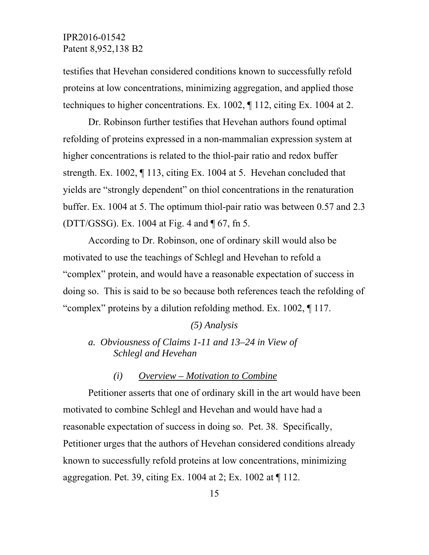testifies that Hevehan considered conditions known to successfully refold proteins at low concentrations, minimizing aggregation, and applied those techniques to higher concentrations. Ex. 1002, ¶ 112, citing Ex. 1004 at 2.

Dr. Robinson further testifies that Hevehan authors found optimal refolding of proteins expressed in a non-mammalian expression system at higher concentrations is related to the thiol-pair ratio and redox buffer strength. Ex. 1002, ¶ 113, citing Ex. 1004 at 5. Hevehan concluded that yields are "strongly dependent" on thiol concentrations in the renaturation buffer. Ex. 1004 at 5. The optimum thiol-pair ratio was between 0.57 and 2.3 (DTT/GSSG). Ex. 1004 at Fig. 4 and ¶ 67, fn 5.

According to Dr. Robinson, one of ordinary skill would also be motivated to use the teachings of Schlegl and Hevehan to refold a "complex" protein, and would have a reasonable expectation of success in doing so. This is said to be so because both references teach the refolding of "complex" proteins by a dilution refolding method. Ex. 1002, ¶ 117.

#### *(5) Analysis*

*a. Obviousness of Claims 1-11 and 13–24 in View of Schlegl and Hevehan* 

#### *(i) Overview – Motivation to Combine*

 Petitioner asserts that one of ordinary skill in the art would have been motivated to combine Schlegl and Hevehan and would have had a reasonable expectation of success in doing so. Pet. 38. Specifically, Petitioner urges that the authors of Hevehan considered conditions already known to successfully refold proteins at low concentrations, minimizing aggregation. Pet. 39, citing Ex. 1004 at 2; Ex. 1002 at  $\P$  112.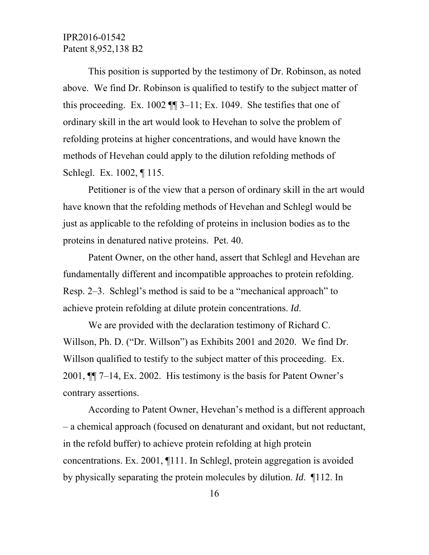This position is supported by the testimony of Dr. Robinson, as noted above. We find Dr. Robinson is qualified to testify to the subject matter of this proceeding. Ex. 1002  $\P$  3–11; Ex. 1049. She testifies that one of ordinary skill in the art would look to Hevehan to solve the problem of refolding proteins at higher concentrations, and would have known the methods of Hevehan could apply to the dilution refolding methods of Schlegl. Ex. 1002, ¶ 115.

Petitioner is of the view that a person of ordinary skill in the art would have known that the refolding methods of Hevehan and Schlegl would be just as applicable to the refolding of proteins in inclusion bodies as to the proteins in denatured native proteins. Pet. 40.

Patent Owner, on the other hand, assert that Schlegl and Hevehan are fundamentally different and incompatible approaches to protein refolding. Resp. 2–3. Schlegl's method is said to be a "mechanical approach" to achieve protein refolding at dilute protein concentrations. *Id*.

 We are provided with the declaration testimony of Richard C. Willson, Ph. D. ("Dr. Willson") as Exhibits 2001 and 2020. We find Dr. Willson qualified to testify to the subject matter of this proceeding. Ex. 2001, ¶¶ 7–14, Ex. 2002. His testimony is the basis for Patent Owner's contrary assertions.

According to Patent Owner, Hevehan's method is a different approach – a chemical approach (focused on denaturant and oxidant, but not reductant, in the refold buffer) to achieve protein refolding at high protein concentrations. Ex. 2001, ¶111. In Schlegl, protein aggregation is avoided by physically separating the protein molecules by dilution. *Id*. ¶112. In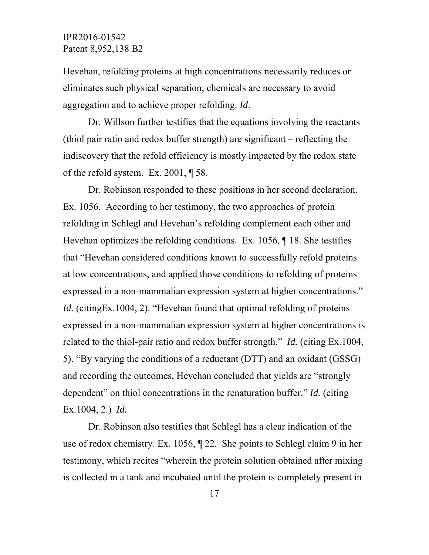Hevehan, refolding proteins at high concentrations necessarily reduces or eliminates such physical separation; chemicals are necessary to avoid aggregation and to achieve proper refolding. *Id*.

Dr. Willson further testifies that the equations involving the reactants (thiol pair ratio and redox buffer strength) are significant – reflecting the indiscovery that the refold efficiency is mostly impacted by the redox state of the refold system. Ex. 2001, ¶ 58.

Dr. Robinson responded to these positions in her second declaration. Ex. 1056. According to her testimony, the two approaches of protein refolding in Schlegl and Hevehan's refolding complement each other and Hevehan optimizes the refolding conditions. Ex. 1056, ¶ 18. She testifies that "Hevehan considered conditions known to successfully refold proteins at low concentrations, and applied those conditions to refolding of proteins expressed in a non-mammalian expression system at higher concentrations." *Id.* (citingEx.1004, 2). "Hevehan found that optimal refolding of proteins expressed in a non-mammalian expression system at higher concentrations is related to the thiol-pair ratio and redox buffer strength." *Id.* (citing Ex.1004, 5). "By varying the conditions of a reductant (DTT) and an oxidant (GSSG) and recording the outcomes, Hevehan concluded that yields are "strongly dependent" on thiol concentrations in the renaturation buffer." *Id.* (citing Ex.1004, 2.) *Id.*

Dr. Robinson also testifies that Schlegl has a clear indication of the use of redox chemistry. Ex. 1056, ¶ 22. She points to Schlegl claim 9 in her testimony, which recites "wherein the protein solution obtained after mixing is collected in a tank and incubated until the protein is completely present in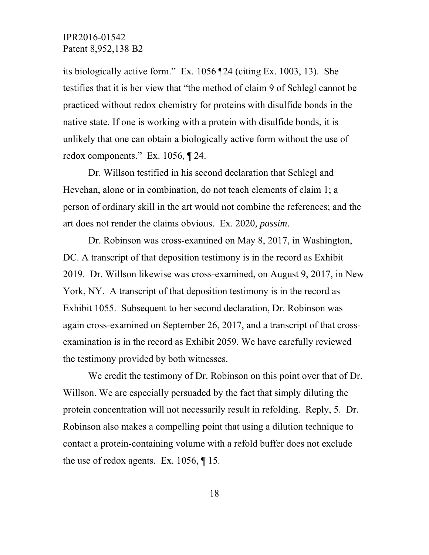its biologically active form." Ex. 1056 ¶24 (citing Ex. 1003, 13). She testifies that it is her view that "the method of claim 9 of Schlegl cannot be practiced without redox chemistry for proteins with disulfide bonds in the native state. If one is working with a protein with disulfide bonds, it is unlikely that one can obtain a biologically active form without the use of redox components." Ex. 1056, ¶ 24.

Dr. Willson testified in his second declaration that Schlegl and Hevehan, alone or in combination, do not teach elements of claim 1; a person of ordinary skill in the art would not combine the references; and the art does not render the claims obvious. Ex. 2020*, passim*.

Dr. Robinson was cross-examined on May 8, 2017, in Washington, DC. A transcript of that deposition testimony is in the record as Exhibit 2019. Dr. Willson likewise was cross-examined, on August 9, 2017, in New York, NY. A transcript of that deposition testimony is in the record as Exhibit 1055. Subsequent to her second declaration, Dr. Robinson was again cross-examined on September 26, 2017, and a transcript of that crossexamination is in the record as Exhibit 2059. We have carefully reviewed the testimony provided by both witnesses.

We credit the testimony of Dr. Robinson on this point over that of Dr. Willson. We are especially persuaded by the fact that simply diluting the protein concentration will not necessarily result in refolding. Reply, 5. Dr. Robinson also makes a compelling point that using a dilution technique to contact a protein-containing volume with a refold buffer does not exclude the use of redox agents. Ex. 1056, ¶ 15.

18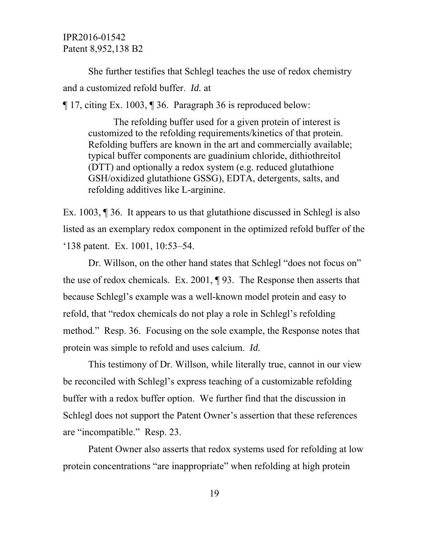She further testifies that Schlegl teaches the use of redox chemistry and a customized refold buffer. *Id.* at

¶ 17, citing Ex. 1003, ¶ 36. Paragraph 36 is reproduced below:

 The refolding buffer used for a given protein of interest is customized to the refolding requirements/kinetics of that protein. Refolding buffers are known in the art and commercially available; typical buffer components are guadinium chloride, dithiothreitol (DTT) and optionally a redox system (e.g. reduced glutathione GSH/oxidized glutathione GSSG), EDTA, detergents, salts, and refolding additives like L-arginine.

Ex. 1003, ¶ 36. It appears to us that glutathione discussed in Schlegl is also listed as an exemplary redox component in the optimized refold buffer of the '138 patent. Ex. 1001, 10:53–54.

Dr. Willson, on the other hand states that Schlegl "does not focus on" the use of redox chemicals. Ex. 2001, ¶ 93. The Response then asserts that because Schlegl's example was a well-known model protein and easy to refold, that "redox chemicals do not play a role in Schlegl's refolding method." Resp. 36. Focusing on the sole example, the Response notes that protein was simple to refold and uses calcium. *Id.* 

This testimony of Dr. Willson, while literally true, cannot in our view be reconciled with Schlegl's express teaching of a customizable refolding buffer with a redox buffer option. We further find that the discussion in Schlegl does not support the Patent Owner's assertion that these references are "incompatible." Resp. 23.

Patent Owner also asserts that redox systems used for refolding at low protein concentrations "are inappropriate" when refolding at high protein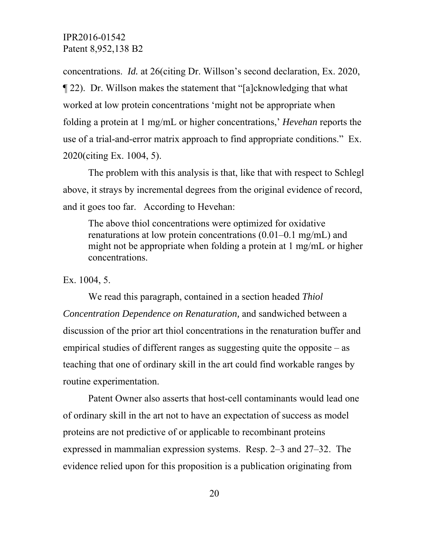concentrations. *Id.* at 26(citing Dr. Willson's second declaration, Ex. 2020, ¶ 22). Dr. Willson makes the statement that "[a]cknowledging that what worked at low protein concentrations 'might not be appropriate when folding a protein at 1 mg/mL or higher concentrations,' *Hevehan* reports the use of a trial-and-error matrix approach to find appropriate conditions." Ex. 2020(citing Ex. 1004, 5).

The problem with this analysis is that, like that with respect to Schlegl above, it strays by incremental degrees from the original evidence of record, and it goes too far. According to Hevehan:

The above thiol concentrations were optimized for oxidative renaturations at low protein concentrations (0.01–0.1 mg/mL) and might not be appropriate when folding a protein at 1 mg/mL or higher concentrations.

Ex. 1004, 5.

 We read this paragraph, contained in a section headed *Thiol Concentration Dependence on Renaturation,* and sandwiched between a discussion of the prior art thiol concentrations in the renaturation buffer and empirical studies of different ranges as suggesting quite the opposite – as teaching that one of ordinary skill in the art could find workable ranges by routine experimentation.

 Patent Owner also asserts that host-cell contaminants would lead one of ordinary skill in the art not to have an expectation of success as model proteins are not predictive of or applicable to recombinant proteins expressed in mammalian expression systems. Resp. 2–3 and 27–32. The evidence relied upon for this proposition is a publication originating from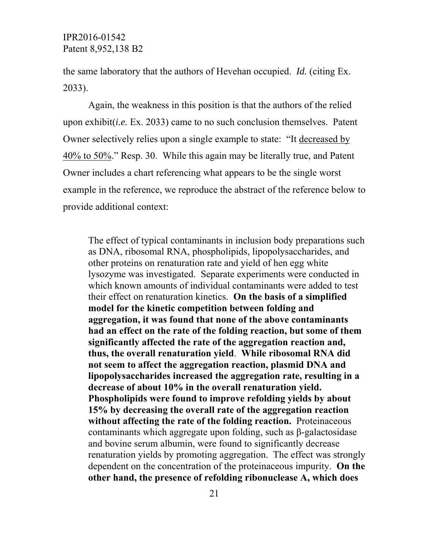the same laboratory that the authors of Hevehan occupied. *Id.* (citing Ex. 2033).

 Again, the weakness in this position is that the authors of the relied upon exhibit(*i.e.* Ex. 2033) came to no such conclusion themselves. Patent Owner selectively relies upon a single example to state: "It decreased by 40% to 50%." Resp. 30. While this again may be literally true, and Patent Owner includes a chart referencing what appears to be the single worst example in the reference, we reproduce the abstract of the reference below to provide additional context:

The effect of typical contaminants in inclusion body preparations such as DNA, ribosomal RNA, phospholipids, lipopolysaccharides, and other proteins on renaturation rate and yield of hen egg white lysozyme was investigated. Separate experiments were conducted in which known amounts of individual contaminants were added to test their effect on renaturation kinetics. **On the basis of a simplified model for the kinetic competition between folding and aggregation, it was found that none of the above contaminants had an effect on the rate of the folding reaction, but some of them significantly affected the rate of the aggregation reaction and, thus, the overall renaturation yield**. **While ribosomal RNA did not seem to affect the aggregation reaction, plasmid DNA and lipopolysaccharides increased the aggregation rate, resulting in a decrease of about 10% in the overall renaturation yield. Phospholipids were found to improve refolding yields by about 15% by decreasing the overall rate of the aggregation reaction without affecting the rate of the folding reaction.** Proteinaceous contaminants which aggregate upon folding, such as β-galactosidase and bovine serum albumin, were found to significantly decrease renaturation yields by promoting aggregation. The effect was strongly dependent on the concentration of the proteinaceous impurity. **On the other hand, the presence of refolding ribonuclease A, which does**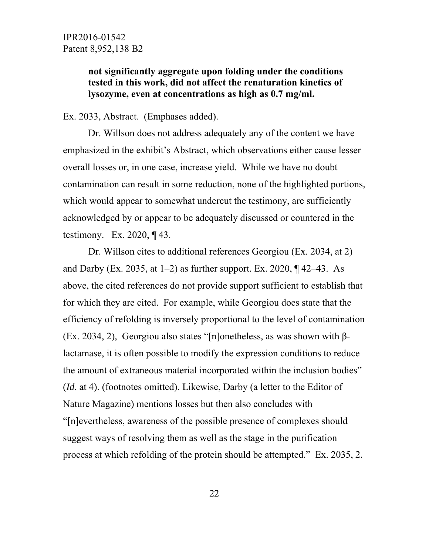# **not significantly aggregate upon folding under the conditions tested in this work, did not affect the renaturation kinetics of lysozyme, even at concentrations as high as 0.7 mg/ml.**

#### Ex. 2033, Abstract. (Emphases added).

Dr. Willson does not address adequately any of the content we have emphasized in the exhibit's Abstract, which observations either cause lesser overall losses or, in one case, increase yield. While we have no doubt contamination can result in some reduction, none of the highlighted portions, which would appear to somewhat undercut the testimony, are sufficiently acknowledged by or appear to be adequately discussed or countered in the testimony. Ex. 2020, ¶ 43.

Dr. Willson cites to additional references Georgiou (Ex. 2034, at 2) and Darby (Ex. 2035, at  $1-2$ ) as further support. Ex. 2020,  $\P$  42–43. As above, the cited references do not provide support sufficient to establish that for which they are cited. For example, while Georgiou does state that the efficiency of refolding is inversely proportional to the level of contamination (Ex. 2034, 2), Georgiou also states "[n]onetheless, as was shown with βlactamase, it is often possible to modify the expression conditions to reduce the amount of extraneous material incorporated within the inclusion bodies" (*Id.* at 4). (footnotes omitted). Likewise, Darby (a letter to the Editor of Nature Magazine) mentions losses but then also concludes with "[n]evertheless, awareness of the possible presence of complexes should suggest ways of resolving them as well as the stage in the purification process at which refolding of the protein should be attempted." Ex. 2035, 2.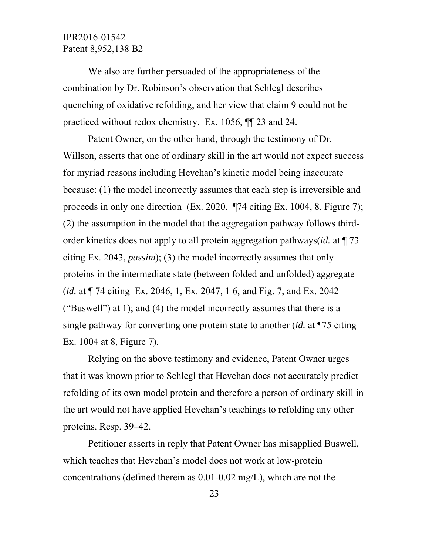We also are further persuaded of the appropriateness of the combination by Dr. Robinson's observation that Schlegl describes quenching of oxidative refolding, and her view that claim 9 could not be practiced without redox chemistry. Ex. 1056, ¶¶ 23 and 24.

Patent Owner, on the other hand, through the testimony of Dr. Willson, asserts that one of ordinary skill in the art would not expect success for myriad reasons including Hevehan's kinetic model being inaccurate because: (1) the model incorrectly assumes that each step is irreversible and proceeds in only one direction (Ex. 2020, ¶74 citing Ex. 1004, 8, Figure 7); (2) the assumption in the model that the aggregation pathway follows thirdorder kinetics does not apply to all protein aggregation pathways(*id.* at ¶ 73 citing Ex. 2043, *passim*); (3) the model incorrectly assumes that only proteins in the intermediate state (between folded and unfolded) aggregate (*id.* at ¶ 74 citing Ex. 2046, 1, Ex. 2047, 1 6, and Fig. 7, and Ex. 2042 ("Buswell") at 1); and (4) the model incorrectly assumes that there is a single pathway for converting one protein state to another (*id.* at ¶75 citing Ex. 1004 at 8, Figure 7).

Relying on the above testimony and evidence, Patent Owner urges that it was known prior to Schlegl that Hevehan does not accurately predict refolding of its own model protein and therefore a person of ordinary skill in the art would not have applied Hevehan's teachings to refolding any other proteins. Resp. 39–42.

Petitioner asserts in reply that Patent Owner has misapplied Buswell, which teaches that Hevehan's model does not work at low-protein concentrations (defined therein as 0.01-0.02 mg/L), which are not the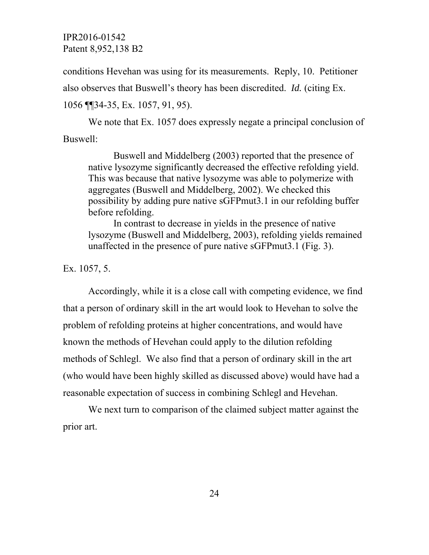conditions Hevehan was using for its measurements. Reply, 10. Petitioner also observes that Buswell's theory has been discredited. *Id.* (citing Ex. 1056 ¶¶34-35, Ex. 1057, 91, 95).

We note that Ex. 1057 does expressly negate a principal conclusion of Buswell:

Buswell and Middelberg (2003) reported that the presence of native lysozyme significantly decreased the effective refolding yield. This was because that native lysozyme was able to polymerize with aggregates (Buswell and Middelberg, 2002). We checked this possibility by adding pure native sGFPmut3.1 in our refolding buffer before refolding.

In contrast to decrease in yields in the presence of native lysozyme (Buswell and Middelberg, 2003), refolding yields remained unaffected in the presence of pure native sGFPmut3.1 (Fig. 3).

Ex. 1057, 5.

Accordingly, while it is a close call with competing evidence, we find that a person of ordinary skill in the art would look to Hevehan to solve the problem of refolding proteins at higher concentrations, and would have known the methods of Hevehan could apply to the dilution refolding methods of Schlegl. We also find that a person of ordinary skill in the art (who would have been highly skilled as discussed above) would have had a reasonable expectation of success in combining Schlegl and Hevehan.

We next turn to comparison of the claimed subject matter against the prior art.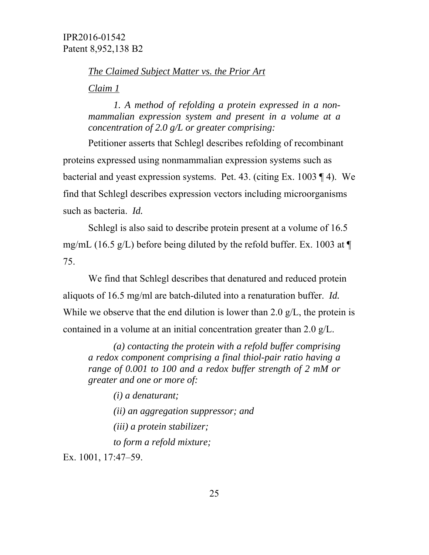*The Claimed Subject Matter vs. the Prior Art* 

*Claim 1* 

*1. A method of refolding a protein expressed in a nonmammalian expression system and present in a volume at a concentration of 2.0 g/L or greater comprising:* 

Petitioner asserts that Schlegl describes refolding of recombinant proteins expressed using nonmammalian expression systems such as bacterial and yeast expression systems. Pet. 43. (citing Ex. 1003 ¶ 4). We find that Schlegl describes expression vectors including microorganisms such as bacteria. *Id.* 

Schlegl is also said to describe protein present at a volume of 16.5 mg/mL (16.5 g/L) before being diluted by the refold buffer. Ex. 1003 at  $\P$ 75.

We find that Schlegl describes that denatured and reduced protein aliquots of 16.5 mg/ml are batch-diluted into a renaturation buffer. *Id.*  While we observe that the end dilution is lower than 2.0  $g/L$ , the protein is contained in a volume at an initial concentration greater than 2.0 g/L.

*(a) contacting the protein with a refold buffer comprising a redox component comprising a final thiol-pair ratio having a range of 0.001 to 100 and a redox buffer strength of 2 mM or greater and one or more of:* 

*(i) a denaturant; (ii) an aggregation suppressor; and* 

*(iii) a protein stabilizer;* 

*to form a refold mixture;* 

Ex. 1001, 17:47–59.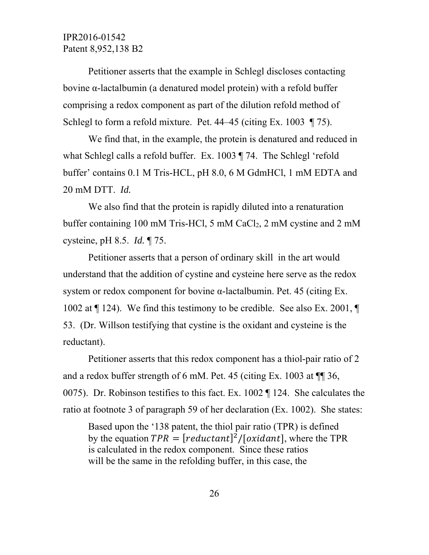Petitioner asserts that the example in Schlegl discloses contacting bovine α-lactalbumin (a denatured model protein) with a refold buffer comprising a redox component as part of the dilution refold method of Schlegl to form a refold mixture. Pet. 44–45 (citing Ex. 1003 ¶ 75).

We find that, in the example, the protein is denatured and reduced in what Schlegl calls a refold buffer. Ex. 1003 ¶ 74. The Schlegl 'refold buffer' contains 0.1 M Tris-HCL, pH 8.0, 6 M GdmHCl, 1 mM EDTA and 20 mM DTT. *Id.*

We also find that the protein is rapidly diluted into a renaturation buffer containing 100 mM Tris-HCl, 5 mM CaCl<sub>2</sub>, 2 mM cystine and 2 mM cysteine, pH 8.5. *Id.* ¶ 75.

Petitioner asserts that a person of ordinary skill in the art would understand that the addition of cystine and cysteine here serve as the redox system or redox component for bovine α-lactalbumin. Pet. 45 (citing Ex. 1002 at ¶ 124). We find this testimony to be credible. See also Ex. 2001, ¶ 53. (Dr. Willson testifying that cystine is the oxidant and cysteine is the reductant).

Petitioner asserts that this redox component has a thiol-pair ratio of 2 and a redox buffer strength of 6 mM. Pet. 45 (citing Ex. 1003 at ¶¶ 36, 0075). Dr. Robinson testifies to this fact. Ex. 1002 ¶ 124. She calculates the ratio at footnote 3 of paragraph 59 of her declaration (Ex. 1002). She states:

Based upon the '138 patent, the thiol pair ratio (TPR) is defined by the equation  $TPR = [reduction]^{2}/[oxidant]$ , where the TPR is calculated in the redox component. Since these ratios will be the same in the refolding buffer, in this case, the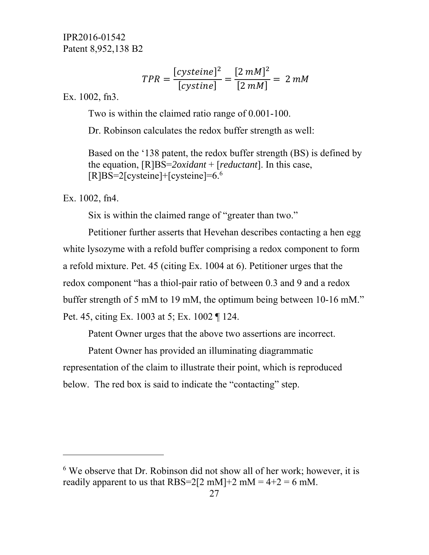$$
TPR = \frac{[cysteine]^2}{[cystine]} = \frac{[2 \, mM]^2}{[2 \, mM]} = 2 \, mM
$$

Ex. 1002, fn3.

Two is within the claimed ratio range of 0.001-100.

Dr. Robinson calculates the redox buffer strength as well:

Based on the '138 patent, the redox buffer strength (BS) is defined by the equation, [R]BS=*2oxidant* + [*reductant*]. In this case,  $[R]BS=2[cysteine]+[cysteine]=6.6$ 

Ex. 1002, fn4.

-

Six is within the claimed range of "greater than two."

Petitioner further asserts that Hevehan describes contacting a hen egg white lysozyme with a refold buffer comprising a redox component to form a refold mixture. Pet. 45 (citing Ex. 1004 at 6). Petitioner urges that the redox component "has a thiol-pair ratio of between 0.3 and 9 and a redox buffer strength of 5 mM to 19 mM, the optimum being between 10-16 mM." Pet. 45, citing Ex. 1003 at 5; Ex. 1002 ¶ 124.

Patent Owner urges that the above two assertions are incorrect.

Patent Owner has provided an illuminating diagrammatic representation of the claim to illustrate their point, which is reproduced below. The red box is said to indicate the "contacting" step.

<sup>&</sup>lt;sup>6</sup> We observe that Dr. Robinson did not show all of her work; however, it is readily apparent to us that RBS=2[2 mM]+2 mM =  $4+2 = 6$  mM.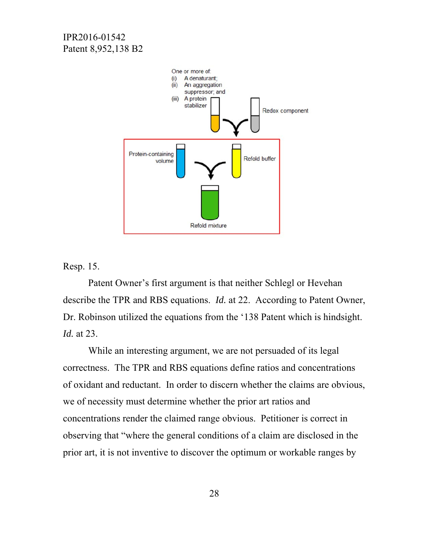

Resp. 15.

 Patent Owner's first argument is that neither Schlegl or Hevehan describe the TPR and RBS equations. *Id.* at 22. According to Patent Owner, Dr. Robinson utilized the equations from the '138 Patent which is hindsight. *Id.* at 23.

While an interesting argument, we are not persuaded of its legal correctness. The TPR and RBS equations define ratios and concentrations of oxidant and reductant. In order to discern whether the claims are obvious, we of necessity must determine whether the prior art ratios and concentrations render the claimed range obvious. Petitioner is correct in observing that "where the general conditions of a claim are disclosed in the prior art, it is not inventive to discover the optimum or workable ranges by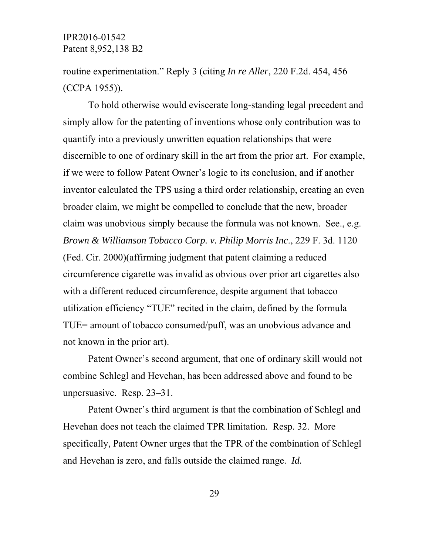routine experimentation." Reply 3 (citing *In re Aller*, 220 F.2d. 454, 456 (CCPA 1955)).

To hold otherwise would eviscerate long-standing legal precedent and simply allow for the patenting of inventions whose only contribution was to quantify into a previously unwritten equation relationships that were discernible to one of ordinary skill in the art from the prior art. For example, if we were to follow Patent Owner's logic to its conclusion, and if another inventor calculated the TPS using a third order relationship, creating an even broader claim, we might be compelled to conclude that the new, broader claim was unobvious simply because the formula was not known. See., e.g. *Brown & Williamson Tobacco Corp. v. Philip Morris Inc*., 229 F. 3d. 1120 (Fed. Cir. 2000)(affirming judgment that patent claiming a reduced circumference cigarette was invalid as obvious over prior art cigarettes also with a different reduced circumference, despite argument that tobacco utilization efficiency "TUE" recited in the claim, defined by the formula TUE= amount of tobacco consumed/puff, was an unobvious advance and not known in the prior art).

Patent Owner's second argument, that one of ordinary skill would not combine Schlegl and Hevehan, has been addressed above and found to be unpersuasive. Resp. 23–31.

Patent Owner's third argument is that the combination of Schlegl and Hevehan does not teach the claimed TPR limitation. Resp. 32. More specifically, Patent Owner urges that the TPR of the combination of Schlegl and Hevehan is zero, and falls outside the claimed range. *Id.*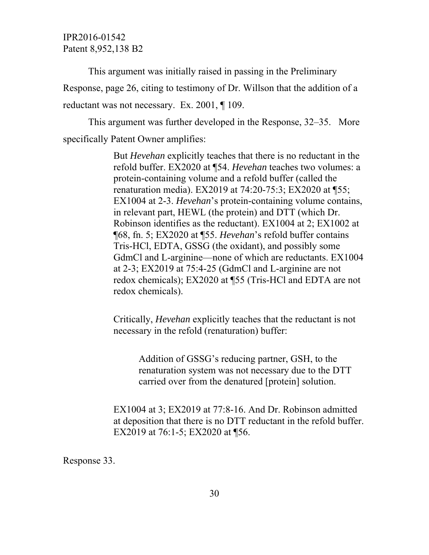This argument was initially raised in passing in the Preliminary Response, page 26, citing to testimony of Dr. Willson that the addition of a reductant was not necessary. Ex. 2001, ¶ 109.

This argument was further developed in the Response, 32–35. More specifically Patent Owner amplifies:

> But *Hevehan* explicitly teaches that there is no reductant in the refold buffer. EX2020 at ¶54. *Hevehan* teaches two volumes: a protein-containing volume and a refold buffer (called the renaturation media). EX2019 at 74:20-75:3; EX2020 at ¶55; EX1004 at 2-3. *Hevehan*'s protein-containing volume contains, in relevant part, HEWL (the protein) and DTT (which Dr. Robinson identifies as the reductant). EX1004 at 2; EX1002 at ¶68, fn. 5; EX2020 at ¶55. *Hevehan*'s refold buffer contains Tris-HCl, EDTA, GSSG (the oxidant), and possibly some GdmCl and L-arginine—none of which are reductants. EX1004 at 2-3; EX2019 at 75:4-25 (GdmCl and L-arginine are not redox chemicals); EX2020 at ¶55 (Tris-HCl and EDTA are not redox chemicals).

Critically, *Hevehan* explicitly teaches that the reductant is not necessary in the refold (renaturation) buffer:

Addition of GSSG's reducing partner, GSH, to the renaturation system was not necessary due to the DTT carried over from the denatured [protein] solution.

EX1004 at 3; EX2019 at 77:8-16. And Dr. Robinson admitted at deposition that there is no DTT reductant in the refold buffer. EX2019 at 76:1-5; EX2020 at ¶56.

Response 33.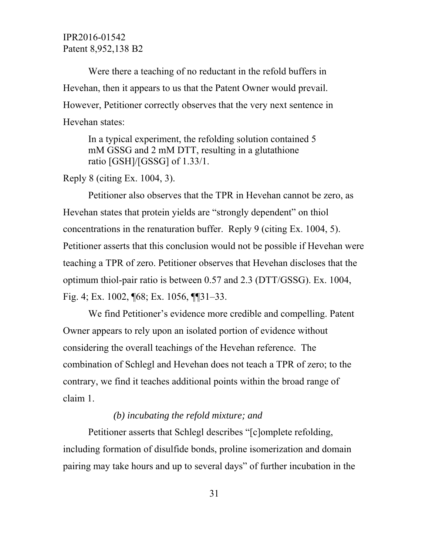Were there a teaching of no reductant in the refold buffers in Hevehan, then it appears to us that the Patent Owner would prevail. However, Petitioner correctly observes that the very next sentence in Hevehan states:

In a typical experiment, the refolding solution contained 5 mM GSSG and 2 mM DTT, resulting in a glutathione ratio [GSH]/[GSSG] of 1.33/1.

Reply 8 (citing Ex. 1004, 3).

Petitioner also observes that the TPR in Hevehan cannot be zero, as Hevehan states that protein yields are "strongly dependent" on thiol concentrations in the renaturation buffer. Reply 9 (citing Ex. 1004, 5). Petitioner asserts that this conclusion would not be possible if Hevehan were teaching a TPR of zero. Petitioner observes that Hevehan discloses that the optimum thiol-pair ratio is between 0.57 and 2.3 (DTT/GSSG). Ex. 1004, Fig. 4; Ex. 1002, ¶68; Ex. 1056, ¶¶31–33.

We find Petitioner's evidence more credible and compelling. Patent Owner appears to rely upon an isolated portion of evidence without considering the overall teachings of the Hevehan reference. The combination of Schlegl and Hevehan does not teach a TPR of zero; to the contrary, we find it teaches additional points within the broad range of claim 1.

#### *(b) incubating the refold mixture; and*

Petitioner asserts that Schlegl describes "[c]omplete refolding, including formation of disulfide bonds, proline isomerization and domain pairing may take hours and up to several days" of further incubation in the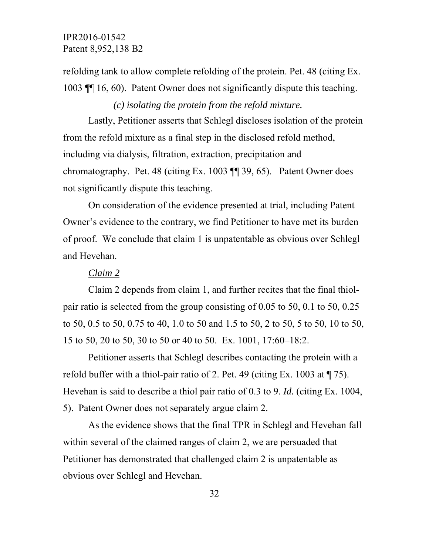refolding tank to allow complete refolding of the protein. Pet. 48 (citing Ex. 1003 ¶¶ 16, 60). Patent Owner does not significantly dispute this teaching.

# *(c) isolating the protein from the refold mixture.*

Lastly, Petitioner asserts that Schlegl discloses isolation of the protein from the refold mixture as a final step in the disclosed refold method, including via dialysis, filtration, extraction, precipitation and chromatography. Pet. 48 (citing Ex. 1003 ¶¶ 39, 65). Patent Owner does not significantly dispute this teaching.

On consideration of the evidence presented at trial, including Patent Owner's evidence to the contrary, we find Petitioner to have met its burden of proof. We conclude that claim 1 is unpatentable as obvious over Schlegl and Hevehan.

#### *Claim 2*

Claim 2 depends from claim 1, and further recites that the final thiolpair ratio is selected from the group consisting of 0.05 to 50, 0.1 to 50, 0.25 to 50, 0.5 to 50, 0.75 to 40, 1.0 to 50 and 1.5 to 50, 2 to 50, 5 to 50, 10 to 50, 15 to 50, 20 to 50, 30 to 50 or 40 to 50. Ex. 1001, 17:60–18:2.

Petitioner asserts that Schlegl describes contacting the protein with a refold buffer with a thiol-pair ratio of 2. Pet. 49 (citing Ex. 1003 at ¶ 75). Hevehan is said to describe a thiol pair ratio of 0.3 to 9. *Id.* (citing Ex. 1004, 5). Patent Owner does not separately argue claim 2.

As the evidence shows that the final TPR in Schlegl and Hevehan fall within several of the claimed ranges of claim 2, we are persuaded that Petitioner has demonstrated that challenged claim 2 is unpatentable as obvious over Schlegl and Hevehan.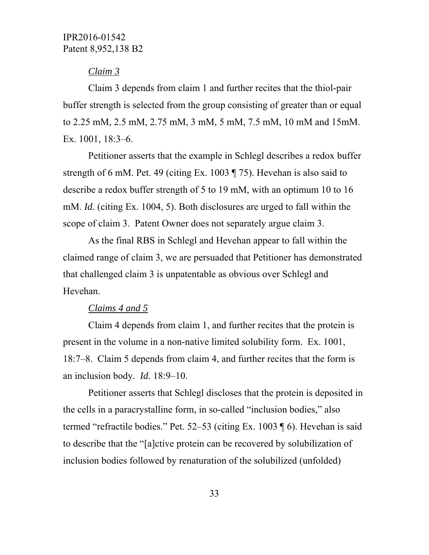# *Claim 3*

Claim 3 depends from claim 1 and further recites that the thiol-pair buffer strength is selected from the group consisting of greater than or equal to 2.25 mM, 2.5 mM, 2.75 mM, 3 mM, 5 mM, 7.5 mM, 10 mM and 15mM. Ex. 1001, 18:3–6.

Petitioner asserts that the example in Schlegl describes a redox buffer strength of 6 mM. Pet. 49 (citing Ex. 1003 ¶ 75). Hevehan is also said to describe a redox buffer strength of 5 to 19 mM, with an optimum 10 to 16 mM. *Id.* (citing Ex. 1004, 5). Both disclosures are urged to fall within the scope of claim 3. Patent Owner does not separately argue claim 3.

As the final RBS in Schlegl and Hevehan appear to fall within the claimed range of claim 3, we are persuaded that Petitioner has demonstrated that challenged claim 3 is unpatentable as obvious over Schlegl and Hevehan.

#### *Claims 4 and 5*

Claim 4 depends from claim 1, and further recites that the protein is present in the volume in a non-native limited solubility form. Ex. 1001, 18:7–8. Claim 5 depends from claim 4, and further recites that the form is an inclusion body. *Id.* 18:9–10.

Petitioner asserts that Schlegl discloses that the protein is deposited in the cells in a paracrystalline form, in so-called "inclusion bodies," also termed "refractile bodies." Pet. 52–53 (citing Ex. 1003 ¶ 6). Hevehan is said to describe that the "[a]ctive protein can be recovered by solubilization of inclusion bodies followed by renaturation of the solubilized (unfolded)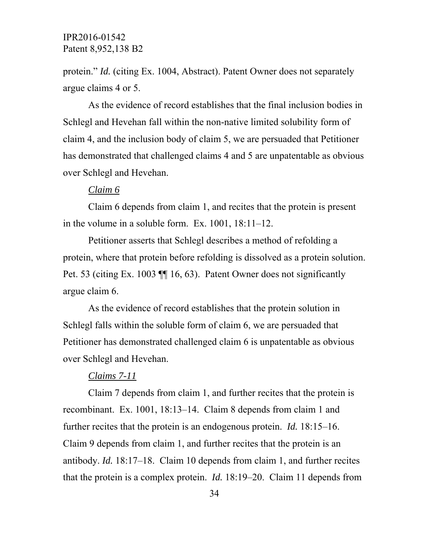protein." *Id.* (citing Ex. 1004, Abstract). Patent Owner does not separately argue claims 4 or 5.

As the evidence of record establishes that the final inclusion bodies in Schlegl and Hevehan fall within the non-native limited solubility form of claim 4, and the inclusion body of claim 5, we are persuaded that Petitioner has demonstrated that challenged claims 4 and 5 are unpatentable as obvious over Schlegl and Hevehan.

#### *Claim 6*

Claim 6 depends from claim 1, and recites that the protein is present in the volume in a soluble form. Ex. 1001, 18:11–12.

Petitioner asserts that Schlegl describes a method of refolding a protein, where that protein before refolding is dissolved as a protein solution. Pet. 53 (citing Ex. 1003 ¶¶ 16, 63). Patent Owner does not significantly argue claim 6.

As the evidence of record establishes that the protein solution in Schlegl falls within the soluble form of claim 6, we are persuaded that Petitioner has demonstrated challenged claim 6 is unpatentable as obvious over Schlegl and Hevehan.

#### *Claims 7-11*

Claim 7 depends from claim 1, and further recites that the protein is recombinant. Ex. 1001, 18:13–14. Claim 8 depends from claim 1 and further recites that the protein is an endogenous protein. *Id.* 18:15–16. Claim 9 depends from claim 1, and further recites that the protein is an antibody. *Id.* 18:17–18. Claim 10 depends from claim 1, and further recites that the protein is a complex protein. *Id.* 18:19–20. Claim 11 depends from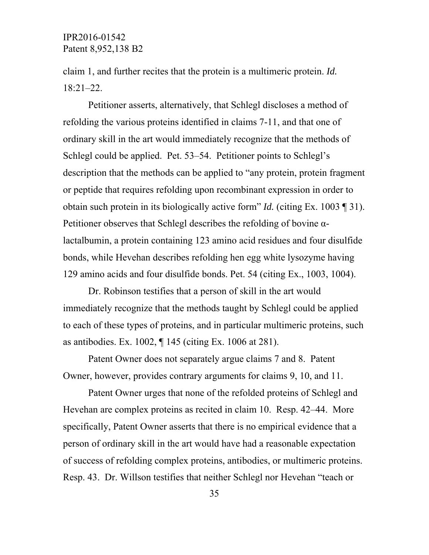claim 1, and further recites that the protein is a multimeric protein. *Id.*  18:21–22.

Petitioner asserts, alternatively, that Schlegl discloses a method of refolding the various proteins identified in claims 7-11, and that one of ordinary skill in the art would immediately recognize that the methods of Schlegl could be applied. Pet. 53–54. Petitioner points to Schlegl's description that the methods can be applied to "any protein, protein fragment or peptide that requires refolding upon recombinant expression in order to obtain such protein in its biologically active form" *Id.* (citing Ex. 1003 ¶ 31). Petitioner observes that Schlegl describes the refolding of bovine αlactalbumin, a protein containing 123 amino acid residues and four disulfide bonds, while Hevehan describes refolding hen egg white lysozyme having 129 amino acids and four disulfide bonds. Pet. 54 (citing Ex., 1003, 1004).

Dr. Robinson testifies that a person of skill in the art would immediately recognize that the methods taught by Schlegl could be applied to each of these types of proteins, and in particular multimeric proteins, such as antibodies. Ex. 1002, ¶ 145 (citing Ex. 1006 at 281).

Patent Owner does not separately argue claims 7 and 8. Patent Owner, however, provides contrary arguments for claims 9, 10, and 11.

Patent Owner urges that none of the refolded proteins of Schlegl and Hevehan are complex proteins as recited in claim 10. Resp. 42–44. More specifically, Patent Owner asserts that there is no empirical evidence that a person of ordinary skill in the art would have had a reasonable expectation of success of refolding complex proteins, antibodies, or multimeric proteins. Resp. 43. Dr. Willson testifies that neither Schlegl nor Hevehan "teach or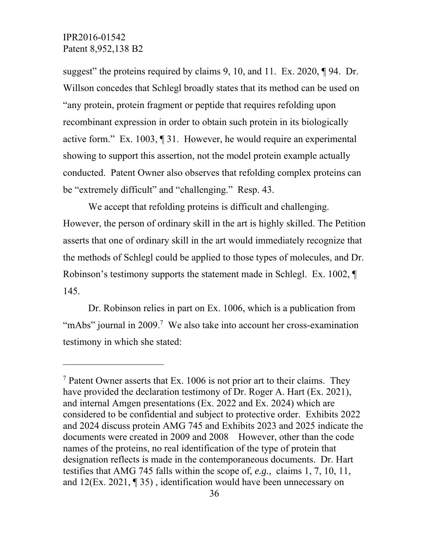-

suggest" the proteins required by claims 9, 10, and 11. Ex. 2020, ¶94. Dr. Willson concedes that Schlegl broadly states that its method can be used on "any protein, protein fragment or peptide that requires refolding upon recombinant expression in order to obtain such protein in its biologically active form." Ex. 1003, ¶ 31. However, he would require an experimental showing to support this assertion, not the model protein example actually conducted. Patent Owner also observes that refolding complex proteins can be "extremely difficult" and "challenging." Resp. 43.

We accept that refolding proteins is difficult and challenging. However, the person of ordinary skill in the art is highly skilled. The Petition asserts that one of ordinary skill in the art would immediately recognize that the methods of Schlegl could be applied to those types of molecules, and Dr. Robinson's testimony supports the statement made in Schlegl. Ex. 1002, ¶ 145.

Dr. Robinson relies in part on Ex. 1006, which is a publication from "mAbs" journal in 2009.<sup>7</sup> We also take into account her cross-examination testimony in which she stated:

<sup>&</sup>lt;sup>7</sup> Patent Owner asserts that Ex. 1006 is not prior art to their claims. They have provided the declaration testimony of Dr. Roger A. Hart (Ex. 2021), and internal Amgen presentations (Ex. 2022 and Ex. 2024) which are considered to be confidential and subject to protective order. Exhibits 2022 and 2024 discuss protein AMG 745 and Exhibits 2023 and 2025 indicate the documents were created in 2009 and 2008 However, other than the code names of the proteins, no real identification of the type of protein that designation reflects is made in the contemporaneous documents. Dr. Hart testifies that AMG 745 falls within the scope of, *e.g.,* claims 1, 7, 10, 11, and 12(Ex. 2021, ¶ 35) , identification would have been unnecessary on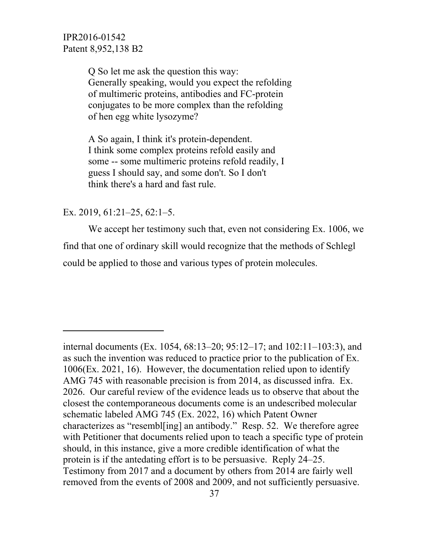> Q So let me ask the question this way: Generally speaking, would you expect the refolding of multimeric proteins, antibodies and FC-protein conjugates to be more complex than the refolding of hen egg white lysozyme?

A So again, I think it's protein-dependent. I think some complex proteins refold easily and some -- some multimeric proteins refold readily, I guess I should say, and some don't. So I don't think there's a hard and fast rule.

#### Ex. 2019, 61:21–25, 62:1–5.

 $\overline{a}$ 

 We accept her testimony such that, even not considering Ex. 1006, we find that one of ordinary skill would recognize that the methods of Schlegl could be applied to those and various types of protein molecules.

internal documents (Ex. 1054, 68:13–20; 95:12–17; and 102:11–103:3), and as such the invention was reduced to practice prior to the publication of Ex. 1006(Ex. 2021, 16). However, the documentation relied upon to identify AMG 745 with reasonable precision is from 2014, as discussed infra. Ex. 2026. Our careful review of the evidence leads us to observe that about the closest the contemporaneous documents come is an undescribed molecular schematic labeled AMG 745 (Ex. 2022, 16) which Patent Owner characterizes as "resembl[ing] an antibody." Resp. 52. We therefore agree with Petitioner that documents relied upon to teach a specific type of protein should, in this instance, give a more credible identification of what the protein is if the antedating effort is to be persuasive. Reply 24–25. Testimony from 2017 and a document by others from 2014 are fairly well removed from the events of 2008 and 2009, and not sufficiently persuasive.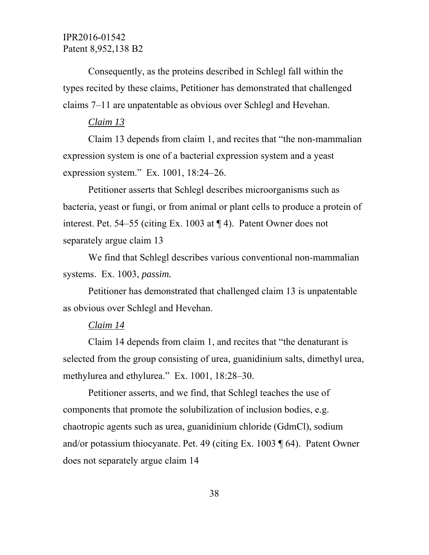Consequently, as the proteins described in Schlegl fall within the types recited by these claims, Petitioner has demonstrated that challenged claims 7–11 are unpatentable as obvious over Schlegl and Hevehan.

#### *Claim 13*

Claim 13 depends from claim 1, and recites that "the non-mammalian expression system is one of a bacterial expression system and a yeast expression system." Ex. 1001, 18:24–26.

Petitioner asserts that Schlegl describes microorganisms such as bacteria, yeast or fungi, or from animal or plant cells to produce a protein of interest. Pet. 54–55 (citing Ex. 1003 at ¶ 4). Patent Owner does not separately argue claim 13

We find that Schlegl describes various conventional non-mammalian systems. Ex. 1003, *passim.* 

Petitioner has demonstrated that challenged claim 13 is unpatentable as obvious over Schlegl and Hevehan.

#### *Claim 14*

Claim 14 depends from claim 1, and recites that "the denaturant is selected from the group consisting of urea, guanidinium salts, dimethyl urea, methylurea and ethylurea." Ex. 1001, 18:28–30.

Petitioner asserts, and we find, that Schlegl teaches the use of components that promote the solubilization of inclusion bodies, e.g. chaotropic agents such as urea, guanidinium chloride (GdmCl), sodium and/or potassium thiocyanate. Pet. 49 (citing Ex. 1003 ¶ 64). Patent Owner does not separately argue claim 14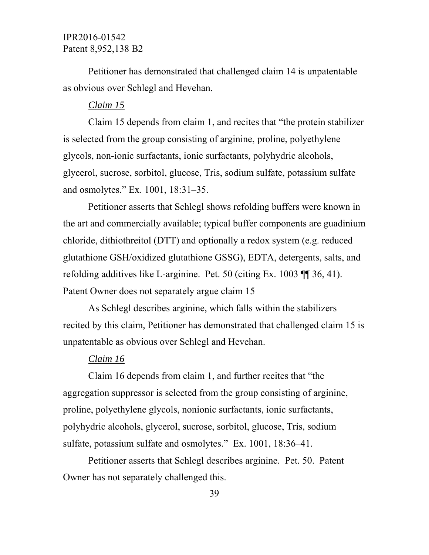Petitioner has demonstrated that challenged claim 14 is unpatentable as obvious over Schlegl and Hevehan.

#### *Claim 15*

Claim 15 depends from claim 1, and recites that "the protein stabilizer is selected from the group consisting of arginine, proline, polyethylene glycols, non-ionic surfactants, ionic surfactants, polyhydric alcohols, glycerol, sucrose, sorbitol, glucose, Tris, sodium sulfate, potassium sulfate and osmolytes." Ex. 1001, 18:31–35.

Petitioner asserts that Schlegl shows refolding buffers were known in the art and commercially available; typical buffer components are guadinium chloride, dithiothreitol (DTT) and optionally a redox system (e.g. reduced glutathione GSH/oxidized glutathione GSSG), EDTA, detergents, salts, and refolding additives like L-arginine. Pet. 50 (citing Ex. 1003 ¶¶ 36, 41). Patent Owner does not separately argue claim 15

As Schlegl describes arginine, which falls within the stabilizers recited by this claim, Petitioner has demonstrated that challenged claim 15 is unpatentable as obvious over Schlegl and Hevehan.

#### *Claim 16*

Claim 16 depends from claim 1, and further recites that "the aggregation suppressor is selected from the group consisting of arginine, proline, polyethylene glycols, nonionic surfactants, ionic surfactants, polyhydric alcohols, glycerol, sucrose, sorbitol, glucose, Tris, sodium sulfate, potassium sulfate and osmolytes." Ex. 1001, 18:36–41.

Petitioner asserts that Schlegl describes arginine. Pet. 50. Patent Owner has not separately challenged this.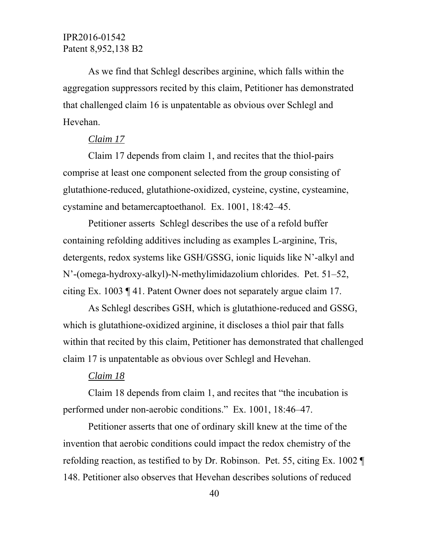As we find that Schlegl describes arginine, which falls within the aggregation suppressors recited by this claim, Petitioner has demonstrated that challenged claim 16 is unpatentable as obvious over Schlegl and Hevehan.

### *Claim 17*

Claim 17 depends from claim 1, and recites that the thiol-pairs comprise at least one component selected from the group consisting of glutathione-reduced, glutathione-oxidized, cysteine, cystine, cysteamine, cystamine and betamercaptoethanol. Ex. 1001, 18:42–45.

Petitioner asserts Schlegl describes the use of a refold buffer containing refolding additives including as examples L-arginine, Tris, detergents, redox systems like GSH/GSSG, ionic liquids like N'-alkyl and N'-(omega-hydroxy-alkyl)-N-methylimidazolium chlorides. Pet. 51–52, citing Ex. 1003 ¶ 41. Patent Owner does not separately argue claim 17.

As Schlegl describes GSH, which is glutathione-reduced and GSSG, which is glutathione-oxidized arginine, it discloses a thiol pair that falls within that recited by this claim, Petitioner has demonstrated that challenged claim 17 is unpatentable as obvious over Schlegl and Hevehan.

#### *Claim 18*

Claim 18 depends from claim 1, and recites that "the incubation is performed under non-aerobic conditions." Ex. 1001, 18:46–47.

Petitioner asserts that one of ordinary skill knew at the time of the invention that aerobic conditions could impact the redox chemistry of the refolding reaction, as testified to by Dr. Robinson. Pet. 55, citing Ex. 1002 ¶ 148. Petitioner also observes that Hevehan describes solutions of reduced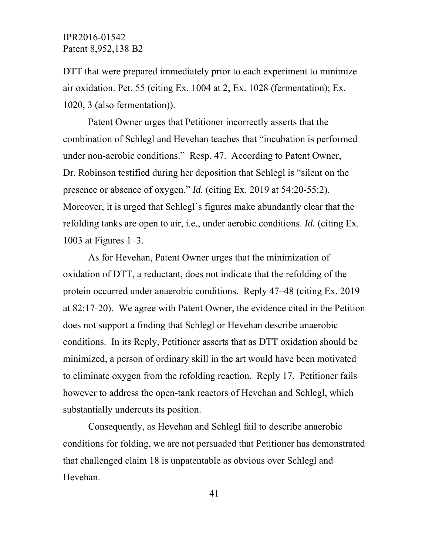DTT that were prepared immediately prior to each experiment to minimize air oxidation. Pet. 55 (citing Ex. 1004 at 2; Ex. 1028 (fermentation); Ex. 1020, 3 (also fermentation)).

Patent Owner urges that Petitioner incorrectly asserts that the combination of Schlegl and Hevehan teaches that "incubation is performed under non-aerobic conditions." Resp. 47. According to Patent Owner, Dr. Robinson testified during her deposition that Schlegl is "silent on the presence or absence of oxygen." *Id.* (citing Ex. 2019 at 54:20-55:2). Moreover, it is urged that Schlegl's figures make abundantly clear that the refolding tanks are open to air, i.e., under aerobic conditions. *Id.* (citing Ex. 1003 at Figures 1–3.

 As for Hevehan, Patent Owner urges that the minimization of oxidation of DTT, a reductant, does not indicate that the refolding of the protein occurred under anaerobic conditions. Reply 47–48 (citing Ex. 2019 at 82:17-20). We agree with Patent Owner, the evidence cited in the Petition does not support a finding that Schlegl or Hevehan describe anaerobic conditions. In its Reply, Petitioner asserts that as DTT oxidation should be minimized, a person of ordinary skill in the art would have been motivated to eliminate oxygen from the refolding reaction. Reply 17. Petitioner fails however to address the open-tank reactors of Hevehan and Schlegl, which substantially undercuts its position.

Consequently, as Hevehan and Schlegl fail to describe anaerobic conditions for folding, we are not persuaded that Petitioner has demonstrated that challenged claim 18 is unpatentable as obvious over Schlegl and Hevehan.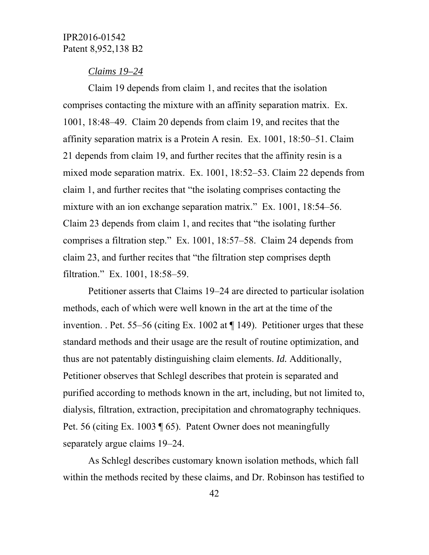#### *Claims 19–24*

Claim 19 depends from claim 1, and recites that the isolation comprises contacting the mixture with an affinity separation matrix. Ex. 1001, 18:48–49. Claim 20 depends from claim 19, and recites that the affinity separation matrix is a Protein A resin. Ex. 1001, 18:50–51. Claim 21 depends from claim 19, and further recites that the affinity resin is a mixed mode separation matrix. Ex. 1001, 18:52–53. Claim 22 depends from claim 1, and further recites that "the isolating comprises contacting the mixture with an ion exchange separation matrix." Ex. 1001, 18:54–56. Claim 23 depends from claim 1, and recites that "the isolating further comprises a filtration step." Ex. 1001, 18:57–58. Claim 24 depends from claim 23, and further recites that "the filtration step comprises depth filtration." Ex. 1001, 18:58–59.

Petitioner asserts that Claims 19–24 are directed to particular isolation methods, each of which were well known in the art at the time of the invention. . Pet. 55–56 (citing Ex. 1002 at  $\P$  149). Petitioner urges that these standard methods and their usage are the result of routine optimization, and thus are not patentably distinguishing claim elements. *Id.* Additionally, Petitioner observes that Schlegl describes that protein is separated and purified according to methods known in the art, including, but not limited to, dialysis, filtration, extraction, precipitation and chromatography techniques. Pet. 56 (citing Ex. 1003 ¶ 65). Patent Owner does not meaningfully separately argue claims 19–24.

As Schlegl describes customary known isolation methods, which fall within the methods recited by these claims, and Dr. Robinson has testified to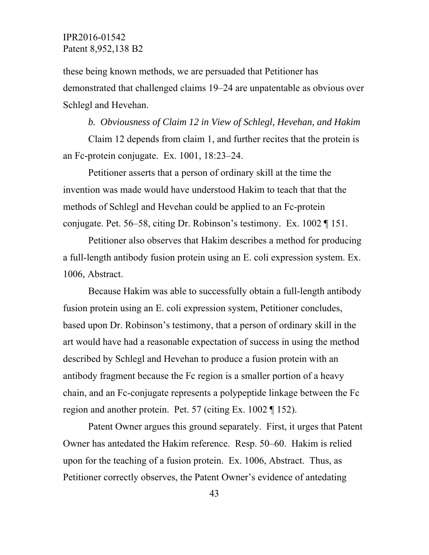these being known methods, we are persuaded that Petitioner has demonstrated that challenged claims 19–24 are unpatentable as obvious over Schlegl and Hevehan.

*b. Obviousness of Claim 12 in View of Schlegl, Hevehan, and Hakim*  Claim 12 depends from claim 1, and further recites that the protein is an Fc-protein conjugate. Ex. 1001, 18:23–24.

Petitioner asserts that a person of ordinary skill at the time the invention was made would have understood Hakim to teach that that the methods of Schlegl and Hevehan could be applied to an Fc-protein conjugate. Pet. 56–58, citing Dr. Robinson's testimony. Ex. 1002 ¶ 151.

Petitioner also observes that Hakim describes a method for producing a full-length antibody fusion protein using an E. coli expression system. Ex. 1006, Abstract.

Because Hakim was able to successfully obtain a full-length antibody fusion protein using an E. coli expression system, Petitioner concludes, based upon Dr. Robinson's testimony, that a person of ordinary skill in the art would have had a reasonable expectation of success in using the method described by Schlegl and Hevehan to produce a fusion protein with an antibody fragment because the Fc region is a smaller portion of a heavy chain, and an Fc-conjugate represents a polypeptide linkage between the Fc region and another protein. Pet. 57 (citing Ex. 1002 ¶ 152).

Patent Owner argues this ground separately. First, it urges that Patent Owner has antedated the Hakim reference. Resp. 50–60. Hakim is relied upon for the teaching of a fusion protein. Ex. 1006, Abstract. Thus, as Petitioner correctly observes, the Patent Owner's evidence of antedating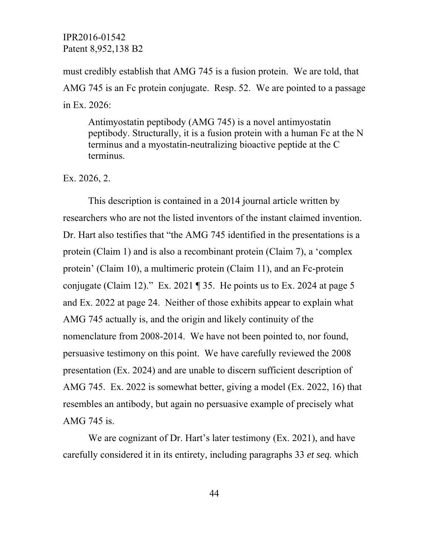must credibly establish that AMG 745 is a fusion protein. We are told, that AMG 745 is an Fc protein conjugate. Resp. 52. We are pointed to a passage in Ex. 2026:

Antimyostatin peptibody (AMG 745) is a novel antimyostatin peptibody. Structurally, it is a fusion protein with a human Fc at the N terminus and a myostatin-neutralizing bioactive peptide at the C terminus.

Ex. 2026, 2.

This description is contained in a 2014 journal article written by researchers who are not the listed inventors of the instant claimed invention. Dr. Hart also testifies that "the AMG 745 identified in the presentations is a protein (Claim 1) and is also a recombinant protein (Claim 7), a 'complex protein' (Claim 10), a multimeric protein (Claim 11), and an Fc-protein conjugate (Claim 12)." Ex. 2021  $\parallel$  35. He points us to Ex. 2024 at page 5 and Ex. 2022 at page 24. Neither of those exhibits appear to explain what AMG 745 actually is, and the origin and likely continuity of the nomenclature from 2008-2014. We have not been pointed to, nor found, persuasive testimony on this point. We have carefully reviewed the 2008 presentation (Ex. 2024) and are unable to discern sufficient description of AMG 745. Ex. 2022 is somewhat better, giving a model (Ex. 2022, 16) that resembles an antibody, but again no persuasive example of precisely what AMG 745 is.

We are cognizant of Dr. Hart's later testimony (Ex. 2021), and have carefully considered it in its entirety, including paragraphs 33 *et seq.* which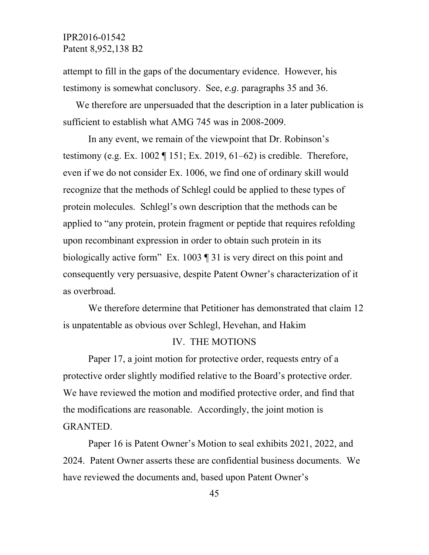attempt to fill in the gaps of the documentary evidence. However, his testimony is somewhat conclusory. See, *e.g*. paragraphs 35 and 36.

We therefore are unpersuaded that the description in a later publication is sufficient to establish what AMG 745 was in 2008-2009.

 In any event, we remain of the viewpoint that Dr. Robinson's testimony (e.g. Ex. 1002  $\P$  151; Ex. 2019, 61–62) is credible. Therefore, even if we do not consider Ex. 1006, we find one of ordinary skill would recognize that the methods of Schlegl could be applied to these types of protein molecules. Schlegl's own description that the methods can be applied to "any protein, protein fragment or peptide that requires refolding upon recombinant expression in order to obtain such protein in its biologically active form" Ex. 1003 ¶ 31 is very direct on this point and consequently very persuasive, despite Patent Owner's characterization of it as overbroad.

We therefore determine that Petitioner has demonstrated that claim 12 is unpatentable as obvious over Schlegl, Hevehan, and Hakim

#### IV. THE MOTIONS

 Paper 17, a joint motion for protective order, requests entry of a protective order slightly modified relative to the Board's protective order. We have reviewed the motion and modified protective order, and find that the modifications are reasonable. Accordingly, the joint motion is GRANTED.

 Paper 16 is Patent Owner's Motion to seal exhibits 2021, 2022, and 2024. Patent Owner asserts these are confidential business documents. We have reviewed the documents and, based upon Patent Owner's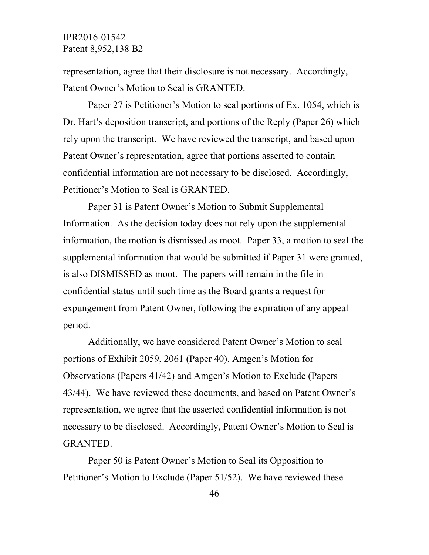representation, agree that their disclosure is not necessary. Accordingly, Patent Owner's Motion to Seal is GRANTED.

 Paper 27 is Petitioner's Motion to seal portions of Ex. 1054, which is Dr. Hart's deposition transcript, and portions of the Reply (Paper 26) which rely upon the transcript. We have reviewed the transcript, and based upon Patent Owner's representation, agree that portions asserted to contain confidential information are not necessary to be disclosed. Accordingly, Petitioner's Motion to Seal is GRANTED.

 Paper 31 is Patent Owner's Motion to Submit Supplemental Information. As the decision today does not rely upon the supplemental information, the motion is dismissed as moot. Paper 33, a motion to seal the supplemental information that would be submitted if Paper 31 were granted, is also DISMISSED as moot. The papers will remain in the file in confidential status until such time as the Board grants a request for expungement from Patent Owner, following the expiration of any appeal period.

 Additionally, we have considered Patent Owner's Motion to seal portions of Exhibit 2059, 2061 (Paper 40), Amgen's Motion for Observations (Papers 41/42) and Amgen's Motion to Exclude (Papers 43/44). We have reviewed these documents, and based on Patent Owner's representation, we agree that the asserted confidential information is not necessary to be disclosed. Accordingly, Patent Owner's Motion to Seal is GRANTED.

 Paper 50 is Patent Owner's Motion to Seal its Opposition to Petitioner's Motion to Exclude (Paper 51/52). We have reviewed these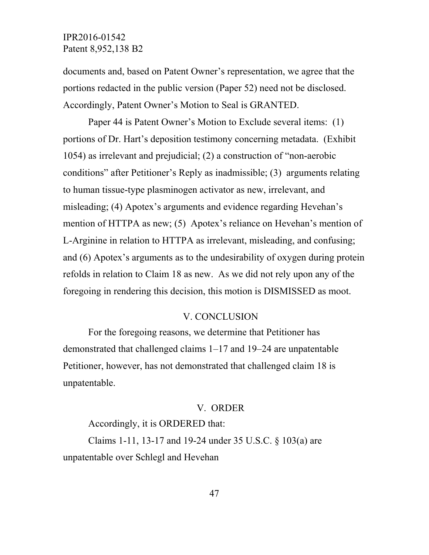documents and, based on Patent Owner's representation, we agree that the portions redacted in the public version (Paper 52) need not be disclosed. Accordingly, Patent Owner's Motion to Seal is GRANTED.

Paper 44 is Patent Owner's Motion to Exclude several items: (1) portions of Dr. Hart's deposition testimony concerning metadata. (Exhibit 1054) as irrelevant and prejudicial; (2) a construction of "non-aerobic conditions" after Petitioner's Reply as inadmissible; (3) arguments relating to human tissue-type plasminogen activator as new, irrelevant, and misleading; (4) Apotex's arguments and evidence regarding Hevehan's mention of HTTPA as new; (5) Apotex's reliance on Hevehan's mention of L-Arginine in relation to HTTPA as irrelevant, misleading, and confusing; and (6) Apotex's arguments as to the undesirability of oxygen during protein refolds in relation to Claim 18 as new. As we did not rely upon any of the foregoing in rendering this decision, this motion is DISMISSED as moot.

### V. CONCLUSION

For the foregoing reasons, we determine that Petitioner has demonstrated that challenged claims 1–17 and 19–24 are unpatentable Petitioner, however, has not demonstrated that challenged claim 18 is unpatentable.

#### V. ORDER

Accordingly, it is ORDERED that:

Claims 1-11, 13-17 and 19-24 under 35 U.S.C. § 103(a) are unpatentable over Schlegl and Hevehan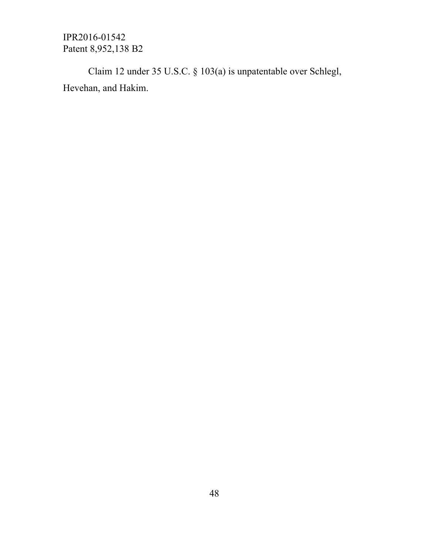Claim 12 under 35 U.S.C. § 103(a) is unpatentable over Schlegl, Hevehan, and Hakim.